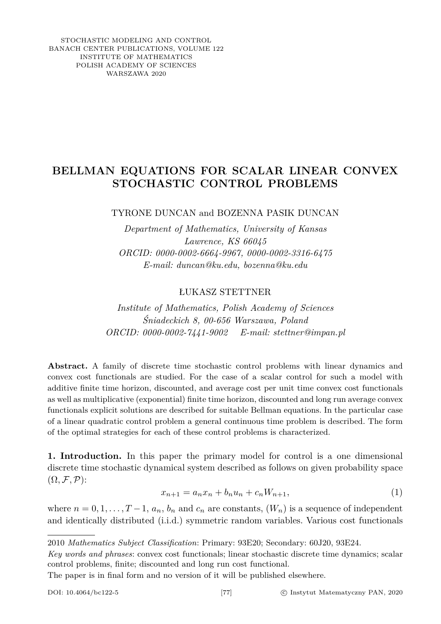STOCHASTIC MODELING AND CONTROL BANACH CENTER PUBLICATIONS, VOLUME 122 INSTITUTE OF MATHEMATICS POLISH ACADEMY OF SCIENCES WARSZAWA 2020

## **BELLMAN EQUATIONS FOR SCALAR LINEAR CONVEX STOCHASTIC CONTROL PROBLEMS**

TYRONE DUNCAN and BOZENNA PASIK DUNCAN

*Department of Mathematics, University of Kansas Lawrence, KS 66045 ORCID: 0000-0002-6664-9967, 0000-0002-3316-6475 E-mail: duncan@ku.edu, bozenna@ku.edu*

ŁUKASZ STETTNER

*Institute of Mathematics, Polish Academy of Sciences Śniadeckich 8, 00-656 Warszawa, Poland ORCID: 0000-0002-7441-9002 E-mail: stettner@impan.pl*

**Abstract.** A family of discrete time stochastic control problems with linear dynamics and convex cost functionals are studied. For the case of a scalar control for such a model with additive finite time horizon, discounted, and average cost per unit time convex cost functionals as well as multiplicative (exponential) finite time horizon, discounted and long run average convex functionals explicit solutions are described for suitable Bellman equations. In the particular case of a linear quadratic control problem a general continuous time problem is described. The form of the optimal strategies for each of these control problems is characterized.

<span id="page-0-0"></span>**1. Introduction.** In this paper the primary model for control is a one dimensional discrete time stochastic dynamical system described as follows on given probability space  $(\Omega, \mathcal{F}, \mathcal{P})$ :

$$
x_{n+1} = a_n x_n + b_n u_n + c_n W_{n+1},
$$
\n(1)

where  $n = 0, 1, \ldots, T-1, a_n, b_n$  and  $c_n$  are constants,  $(W_n)$  is a sequence of independent and identically distributed (i.i.d.) symmetric random variables. Various cost functionals

The paper is in final form and no version of it will be published elsewhere.

<sup>2010</sup> *Mathematics Subject Classification*: Primary: 93E20; Secondary: 60J20, 93E24.

*Key words and phrases*: convex cost functionals; linear stochastic discrete time dynamics; scalar control problems, finite; discounted and long run cost functional.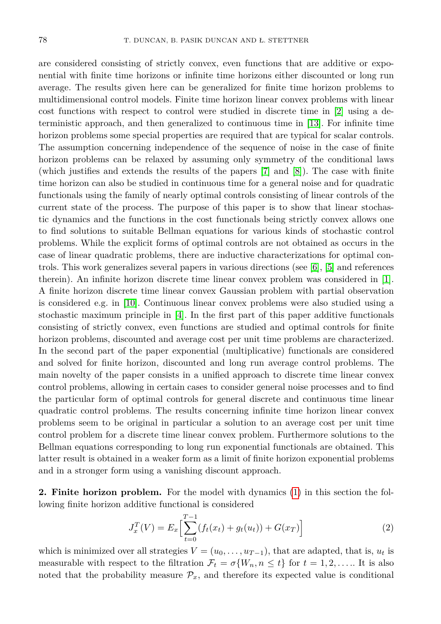are considered consisting of strictly convex, even functions that are additive or exponential with finite time horizons or infinite time horizons either discounted or long run average. The results given here can be generalized for finite time horizon problems to multidimensional control models. Finite time horizon linear convex problems with linear cost functions with respect to control were studied in discrete time in [\[2\]](#page-15-0) using a deterministic approach, and then generalized to continuous time in [\[13\]](#page-15-1). For infinite time horizon problems some special properties are required that are typical for scalar controls. The assumption concerning independence of the sequence of noise in the case of finite horizon problems can be relaxed by assuming only symmetry of the conditional laws (which justifies and extends the results of the papers [\[7\]](#page-15-2) and [\[8\]](#page-15-3)). The case with finite time horizon can also be studied in continuous time for a general noise and for quadratic functionals using the family of nearly optimal controls consisting of linear controls of the current state of the process. The purpose of this paper is to show that linear stochastic dynamics and the functions in the cost functionals being strictly convex allows one to find solutions to suitable Bellman equations for various kinds of stochastic control problems. While the explicit forms of optimal controls are not obtained as occurs in the case of linear quadratic problems, there are inductive characterizations for optimal controls. This work generalizes several papers in various directions (see [\[6\]](#page-15-4), [\[5\]](#page-15-5) and references therein). An infinite horizon discrete time linear convex problem was considered in [\[1\]](#page-15-6). A finite horizon discrete time linear convex Gaussian problem with partial observation is considered e.g. in [\[10\]](#page-15-7). Continuous linear convex problems were also studied using a stochastic maximum principle in [\[4\]](#page-15-8). In the first part of this paper additive functionals consisting of strictly convex, even functions are studied and optimal controls for finite horizon problems, discounted and average cost per unit time problems are characterized. In the second part of the paper exponential (multiplicative) functionals are considered and solved for finite horizon, discounted and long run average control problems. The main novelty of the paper consists in a unified approach to discrete time linear convex control problems, allowing in certain cases to consider general noise processes and to find the particular form of optimal controls for general discrete and continuous time linear quadratic control problems. The results concerning infinite time horizon linear convex problems seem to be original in particular a solution to an average cost per unit time control problem for a discrete time linear convex problem. Furthermore solutions to the Bellman equations corresponding to long run exponential functionals are obtained. This latter result is obtained in a weaker form as a limit of finite horizon exponential problems and in a stronger form using a vanishing discount approach.

**2. Finite horizon problem.** For the model with dynamics [\(1\)](#page-0-0) in this section the following finite horizon additive functional is considered

<span id="page-1-0"></span>
$$
J_x^T(V) = E_x \left[ \sum_{t=0}^{T-1} (f_t(x_t) + g_t(u_t)) + G(x_T) \right]
$$
 (2)

which is minimized over all strategies  $V = (u_0, \ldots, u_{T-1})$ , that are adapted, that is,  $u_t$  is measurable with respect to the filtration  $\mathcal{F}_t = \sigma\{W_n, n \leq t\}$  for  $t = 1, 2, \ldots$ . It is also noted that the probability measure  $\mathcal{P}_x$ , and therefore its expected value is conditional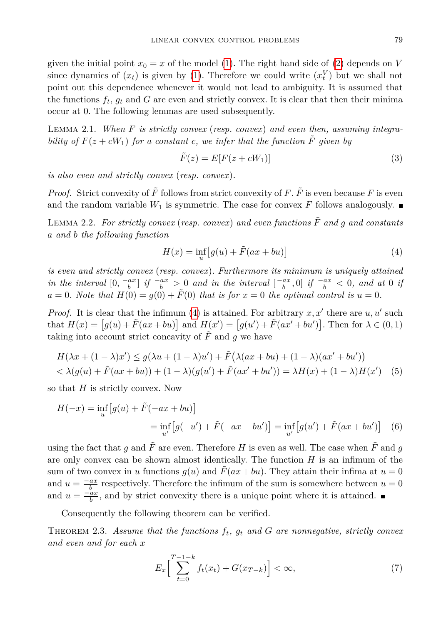given the initial point  $x_0 = x$  of the model [\(1\)](#page-0-0). The right hand side of [\(2\)](#page-1-0) depends on *V* since dynamics of  $(x_t)$  is given by [\(1\)](#page-0-0). Therefore we could write  $(x_t^V)$  but we shall not point out this dependence whenever it would not lead to ambiguity. It is assumed that the functions  $f_t$ ,  $g_t$  and  $G$  are even and strictly convex. It is clear that then their minima occur at 0. The following lemmas are used subsequently.

<span id="page-2-2"></span>Lemma 2.1. *When F is strictly convex* (*resp. convex*) *and even then, assuming integrability of*  $F(z + cW_1)$  *for a constant c, we infer that the function*  $\tilde{F}$  *given* by

$$
\tilde{F}(z) = E[F(z + cW_1)]\tag{3}
$$

*is also even and strictly convex* (*resp. convex*)*.*

*Proof.* Strict convexity of  $\tilde{F}$  follows from strict convexity of F.  $\tilde{F}$  is even because F is even and the random variable  $W_1$  is symmetric. The case for convex  $F$  follows analogously.

<span id="page-2-3"></span>LEMMA 2.2. For strictly convex (resp. convex) and even functions  $\tilde{F}$  and  $q$  and constants *a and b the following function*

<span id="page-2-0"></span>
$$
H(x) = \inf_{u} \left[ g(u) + \tilde{F}(ax + bu) \right]
$$
 (4)

*is even and strictly convex* (*resp. convex*)*. Furthermore its minimum is uniquely attained* in the interval  $[0, \frac{-ax}{b}]$  if  $\frac{-ax}{b} > 0$  and in the interval  $[\frac{-ax}{b}, 0]$  if  $\frac{-ax}{b} < 0$ , and at 0 if  $a = 0$ *. Note that*  $H(0) = g(0) + \tilde{F}(0)$  *that is for*  $x = 0$  *the optimal control is*  $u = 0$ *.* 

*Proof.* It is clear that the infimum [\(4\)](#page-2-0) is attained. For arbitrary  $x, x'$  there are  $u, u'$  such that  $H(x) = [g(u) + \tilde{F}(ax + bu)]$  and  $H(x') = [g(u') + \tilde{F}(ax' + bu')]$ . Then for  $\lambda \in (0, 1)$ taking into account strict concavity of  $\tilde{F}$  and  $q$  we have

$$
H(\lambda x + (1 - \lambda)x') \le g(\lambda u + (1 - \lambda)u') + \tilde{F}(\lambda(ax + bu) + (1 - \lambda)(ax' + bu'))
$$
  
<  $\lambda(g(u) + \tilde{F}(ax + bu)) + (1 - \lambda)(g(u') + \tilde{F}(ax' + bu')) = \lambda H(x) + (1 - \lambda)H(x')$  (5)

so that *H* is strictly convex. Now

$$
H(-x) = \inf_{u} \left[ g(u) + \tilde{F}(-ax + bu) \right]
$$
  
= 
$$
\inf_{u'} \left[ g(-u') + \tilde{F}(-ax - bu') \right] = \inf_{u'} \left[ g(u') + \tilde{F}(ax + bu') \right]
$$
 (6)

using the fact that *q* and  $\tilde{F}$  are even. Therefore *H* is even as well. The case when  $\tilde{F}$  and *q* are only convex can be shown almost identically. The function *H* is an infimum of the sum of two convex in *u* functions  $g(u)$  and  $\tilde{F}(ax + bu)$ . They attain their infima at  $u = 0$ and  $u = \frac{-ax}{b}$  respectively. Therefore the infimum of the sum is somewhere between  $u = 0$ and  $u = \frac{-ax}{b}$ , and by strict convexity there is a unique point where it is attained.

Consequently the following theorem can be verified.

THEOREM 2.3. Assume that the functions  $f_t$ ,  $g_t$  and  $G$  are nonnegative, strictly convex *and even and for each x*

<span id="page-2-1"></span>
$$
E_x \left[ \sum_{t=0}^{T-1-k} f_t(x_t) + G(x_{T-k}) \right] < \infty,\tag{7}
$$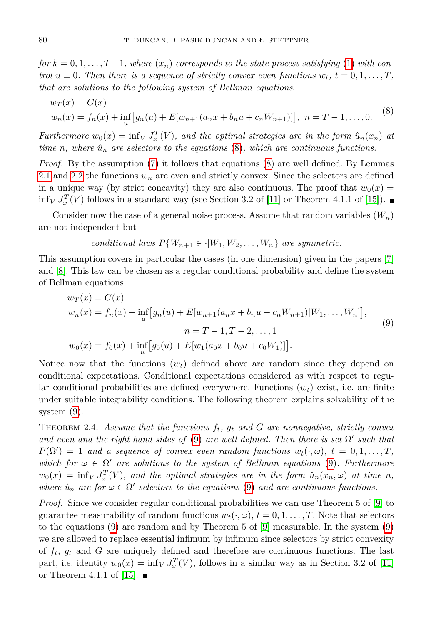*for*  $k = 0, 1, \ldots, T-1$ , where  $(x_n)$  corresponds to the state process satisfying [\(1\)](#page-0-0) with con*trol*  $u \equiv 0$ *. Then there is a sequence of strictly convex even functions*  $w_t$ ,  $t = 0, 1, \ldots, T$ , *that are solutions to the following system of Bellman equations*:

<span id="page-3-0"></span>
$$
w_T(x) = G(x)
$$
  
\n
$$
w_n(x) = f_n(x) + \inf_u [g_n(u) + E[w_{n+1}(a_n x + b_n u + c_n W_{n+1})]], \quad n = T - 1, ..., 0.
$$
 (8)

*Furthermore*  $w_0(x) = \inf_V J_x^T(V)$ , and the optimal strategies are in the form  $\hat{u}_n(x_n)$  at *time n*, where  $\hat{u}_n$  are selectors to the equations [\(8\)](#page-3-0), which are continuous functions.

*Proof.* By the assumption [\(7\)](#page-2-1) it follows that equations [\(8\)](#page-3-0) are well defined. By Lemmas [2.1](#page-2-2) and [2.2](#page-2-3) the functions  $w_n$  are even and strictly convex. Since the selectors are defined in a unique way (by strict concavity) they are also continuous. The proof that  $w_0(x) =$  $\inf_V J_x^T(V)$  follows in a standard way (see Section 3.2 of [\[11\]](#page-15-9) or Theorem 4.1.1 of [\[15\]](#page-15-10)).

Consider now the case of a general noise process. Assume that random variables  $(W_n)$ are not independent but

<span id="page-3-1"></span>*conditional laws* 
$$
P\{W_{n+1} \in \cdot | W_1, W_2, \ldots, W_n\}
$$
 *are symmetric.*

This assumption covers in particular the cases (in one dimension) given in the papers [\[7\]](#page-15-2) and [\[8\]](#page-15-3). This law can be chosen as a regular conditional probability and define the system of Bellman equations

$$
w_T(x) = G(x)
$$
  
\n
$$
w_n(x) = f_n(x) + \inf_u [g_n(u) + E[w_{n+1}(a_n x + b_n u + c_n W_{n+1})|W_1, \dots, W_n]],
$$
  
\n
$$
n = T - 1, T - 2, \dots, 1
$$
  
\n
$$
w_0(x) = f_0(x) + \inf_u [g_0(u) + E[w_1(a_0 x + b_0 u + c_0 W_1)]].
$$
\n(9)

Notice now that the functions  $(w_t)$  defined above are random since they depend on conditional expectations. Conditional expectations considered as with respect to regular conditional probabilities are defined everywhere. Functions (*wt*) exist, i.e. are finite under suitable integrability conditions. The following theorem explains solvability of the system [\(9\)](#page-3-1).

<span id="page-3-2"></span>THEOREM 2.4. Assume that the functions  $f_t$ ,  $g_t$  and  $G$  are nonnegative, strictly convex and even and the right hand sides of  $(9)$  are well defined. Then there is set  $\Omega'$  such that  $P(\Omega') = 1$  *and a sequence of convex even random functions*  $w_t(\cdot, \omega)$ ,  $t = 0, 1, \ldots, T$ , *which for*  $\omega \in \Omega'$  *are solutions to the system of Bellman equations* [\(9\)](#page-3-1)*. Furthermore*  $w_0(x) = inf_V J_x^T(V)$ , and the optimal strategies are in the form  $\hat{u}_n(x_n,\omega)$  at time *n*, *where*  $\hat{u}_n$  *are for*  $\omega \in \Omega'$  *selectors to the equations* [\(9\)](#page-3-1) *and are continuous functions.* 

*Proof.* Since we consider regular conditional probabilities we can use Theorem 5 of [\[9\]](#page-15-11) to guarantee measurability of random functions  $w_t(\cdot, \omega)$ ,  $t = 0, 1, \ldots, T$ . Note that selectors to the equations [\(9\)](#page-3-1) are random and by Theorem 5 of [\[9\]](#page-15-11) measurable. In the system [\(9\)](#page-3-1) we are allowed to replace essential infimum by infimum since selectors by strict convexity of  $f_t$ ,  $g_t$  and  $G$  are uniquely defined and therefore are continuous functions. The last part, i.e. identity  $w_0(x) = \inf_V J_x^T(V)$ , follows in a similar way as in Section 3.2 of [\[11\]](#page-15-9) or Theorem 4.1.1 of [\[15\]](#page-15-10).  $\blacksquare$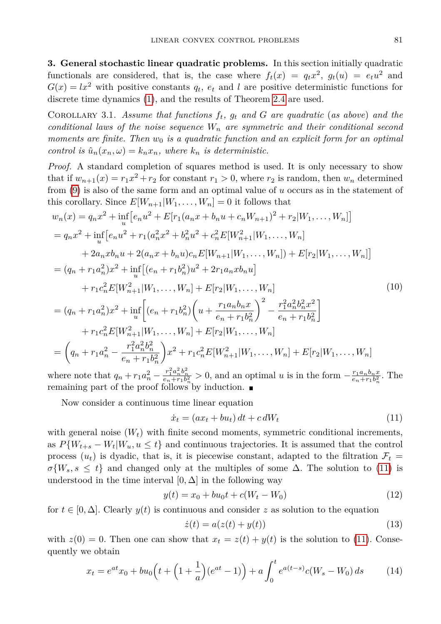**3. General stochastic linear quadratic problems.** In this section initially quadratic functionals are considered, that is, the case where  $f_t(x) = q_t x^2$ ,  $g_t(u) = e_t u^2$  and  $G(x) = lx^2$  with positive constants  $q_t$ ,  $e_t$  and *l* are positive deterministic functions for discrete time dynamics [\(1\)](#page-0-0), and the results of Theorem [2.4](#page-3-2) are used.

COROLLARY 3.1. Assume that functions  $f_t$ ,  $g_t$  and  $G$  are quadratic (as above) and the *conditional laws of the noise sequence W<sup>n</sup> are symmetric and their conditional second moments are finite. Then w*<sup>0</sup> *is a quadratic function and an explicit form for an optimal*  $control\ is\ \hat{u}_n(x_n,\omega) = k_n x_n, \ where\ k_n\ is\ deterministic.$ 

*Proof.* A standard completion of squares method is used. It is only necessary to show that if  $w_{n+1}(x) = r_1 x^2 + r_2$  for constant  $r_1 > 0$ , where  $r_2$  is random, then  $w_n$  determined from [\(9\)](#page-3-1) is also of the same form and an optimal value of *u* occurs as in the statement of this corollary. Since  $E[W_{n+1}|W_1,\ldots,W_n]=0$  it follows that

$$
w_n(x) = q_n x^2 + \inf_{u} \left[ e_n u^2 + E[r_1(a_n x + b_n u + c_n W_{n+1})^2 + r_2 | W_1, \dots, W_n] \right]
$$
  
\n
$$
= q_n x^2 + \inf_{u} \left[ e_n u^2 + r_1(a_n^2 x^2 + b_n^2 u^2 + c_n^2 E[W_{n+1}^2 | W_1, \dots, W_n] + 2a_n x b_n u + 2(a_n x + b_n u) c_n E[W_{n+1} | W_1, \dots, W_n] \right] + 2a_n x b_n u + 2(a_n x + b_n u) c_n E[W_{n+1} | W_1, \dots, W_n] + E[r_2 | W_1, \dots, W_n] \n+ r_1 c_n^2 E[W_{n+1}^2 | W_1, \dots, W_n] + E[r_2 | W_1, \dots, W_n] \n+ r_1 c_n^2 E[W_{n+1}^2 | W_1, \dots, W_n] + E[r_2 | W_1, \dots, W_n] \n= (q_n + r_1 a_n^2) x^2 + \inf_{u} \left[ (e_n + r_1 b_n^2) \left( u + \frac{r_1 a_n b_n x}{e_n + r_1 b_n^2} \right)^2 - \frac{r_1^2 a_n^2 b_n^2 x^2}{e_n + r_1 b_n^2} \right] \n+ r_1 c_n^2 E[W_{n+1}^2 | W_1, \dots, W_n] + E[r_2 | W_1, \dots, W_n] \n= \left( q_n + r_1 a_n^2 - \frac{r_1^2 a_n^2 b_n^2}{e_n + r_1 b_n^2} \right) x^2 + r_1 c_n^2 E[W_{n+1}^2 | W_1, \dots, W_n] + E[r_2 | W_1, \dots, W_n]
$$
  
\nwhere note that  $a_n + r_1 a^2 - \frac{r_1^2 a_n^2 b_n^2}{e_n + r_1 b_n^2} > 0$  and an optimal  $u$  is in the form  $-\frac{r_1 a_n b_n x}{e_n + r_1 b_n^2}$ . The

where note that  $q_n + r_1 a_n^2$  –  $\frac{r_1^2 a_n^2 b_n^2}{e_n + r_1 b_n^2} > 0$ , and an optimal *u* is in the form −  $e_n + r_1 b_n^2$ . The remaining part of the proof follows by induction.

Now consider a continuous time linear equation

<span id="page-4-0"></span>
$$
\dot{x}_t = (ax_t + bu_t) dt + c dW_t \tag{11}
$$

with general noise  $(W_t)$  with finite second moments, symmetric conditional increments, as  $P\{W_{t+s} - W_t | W_u, u \leq t\}$  and continuous trajectories. It is assumed that the control process  $(u_t)$  is dyadic, that is, it is piecewise constant, adapted to the filtration  $\mathcal{F}_t$  $\sigma\{W_s, s \leq t\}$  and changed only at the multiples of some  $\Delta$ . The solution to [\(11\)](#page-4-0) is understood in the time interval  $[0, \Delta]$  in the following way

$$
y(t) = x_0 + bu_0t + c(W_t - W_0)
$$
\n(12)

for  $t \in [0, \Delta]$ . Clearly  $y(t)$  is continuous and consider z as solution to the equation

$$
\dot{z}(t) = a(z(t) + y(t))\tag{13}
$$

with  $z(0) = 0$ . Then one can show that  $x_t = z(t) + y(t)$  is the solution to [\(11\)](#page-4-0). Consequently we obtain

<span id="page-4-1"></span>
$$
x_t = e^{at}x_0 + bu_0\left(t + \left(1 + \frac{1}{a}\right)(e^{at} - 1)\right) + a\int_0^t e^{a(t-s)}c(W_s - W_0)\,ds\tag{14}
$$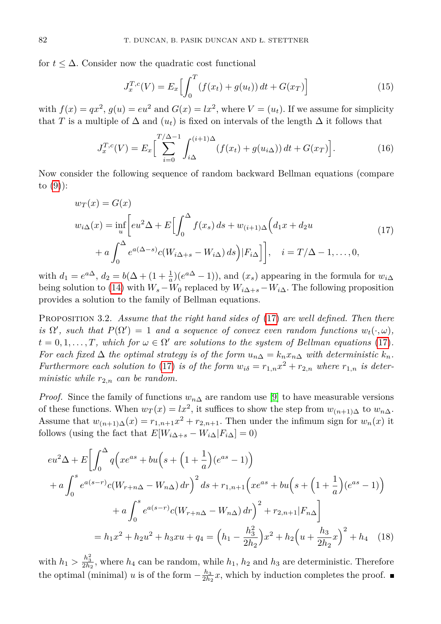for  $t \leq \Delta$ . Consider now the quadratic cost functional

$$
J_x^{T,c}(V) = E_x \left[ \int_0^T (f(x_t) + g(u_t)) dt + G(x_T) \right]
$$
 (15)

with  $f(x) = qx^2$ ,  $g(u) = eu^2$  and  $G(x) = lx^2$ , where  $V = (u_t)$ . If we assume for simplicity that *T* is a multiple of  $\Delta$  and  $(u_t)$  is fixed on intervals of the length  $\Delta$  it follows that

$$
J_x^{T,c}(V) = E_x \left[ \sum_{i=0}^{T/\Delta - 1} \int_{i\Delta}^{(i+1)\Delta} (f(x_t) + g(u_i \Delta)) dt + G(x_T) \right].
$$
 (16)

Now consider the following sequence of random backward Bellman equations (compare to  $(9)$ :

<span id="page-5-0"></span>
$$
w_T(x) = G(x)
$$
  
\n
$$
w_i \Delta(x) = \inf_u \left[ e^{i2\Delta} + E \left[ \int_0^{\Delta} f(x_s) ds + w_{(i+1)\Delta} \left( d_1 x + d_2 u \right) \right. \right.
$$
  
\n
$$
+ a \int_0^{\Delta} e^{a(\Delta - s)} c(W_{i\Delta + s} - W_{i\Delta}) ds \Big) |F_{i\Delta} \Big] \Big], \quad i = T/\Delta - 1, ..., 0,
$$
\n(17)

with  $d_1 = e^{a\Delta}$ ,  $d_2 = b(\Delta + (1 + \frac{1}{a})(e^{a\Delta} - 1))$ , and  $(x_s)$  appearing in the formula for  $w_{i\Delta}$ being solution to [\(14\)](#page-4-1) with  $W_s - W_0$  replaced by  $W_{i\Delta+s} - W_{i\Delta}$ . The following proposition provides a solution to the family of Bellman equations.

Proposition 3.2. *Assume that the right hand sides of* [\(17\)](#page-5-0) *are well defined. Then there is*  $\Omega'$ *, such that*  $P(\Omega') = 1$  *and a sequence of convex even random functions*  $w_t(\cdot, \omega)$ *,*  $t = 0, 1, \ldots, T$ , which for  $\omega \in \Omega'$  are solutions to the system of Bellman equations [\(17\)](#page-5-0). *For each fixed*  $\Delta$  *the optimal strategy is of the form*  $u_{n\Delta} = k_n x_{n\Delta}$  *with deterministic*  $k_n$ *. Furthermore each solution to* [\(17\)](#page-5-0) *is of the form*  $w_{i\delta} = r_{1,n}x^2 + r_{2,n}$  *where*  $r_{1,n}$  *is deterministic while*  $r_{2,n}$  *can be random.* 

*Proof.* Since the family of functions  $w_{n\Delta}$  are random use [\[9\]](#page-15-11) to have measurable versions of these functions. When  $w_T(x) = lx^2$ , it suffices to show the step from  $w_{(n+1)\Delta}$  to  $w_{n\Delta}$ . Assume that  $w_{(n+1)\Delta}(x) = r_{1,n+1}x^2 + r_{2,n+1}$ . Then under the infimum sign for  $w_n(x)$  it follows (using the fact that  $E[W_{i\Delta+s} - W_{i\Delta}]F_{i\Delta} = 0$ )

$$
eu^{2}\Delta + E \left[ \int_{0}^{\Delta} q \left( x e^{as} + bu \left( s + \left( 1 + \frac{1}{a} \right) (e^{as} - 1) \right) \right) \right.
$$
  
+  $a \int_{0}^{s} e^{a(s-r)} c (W_{r+n\Delta} - W_{n\Delta}) dr \right)^{2} ds + r_{1,n+1} \left( x e^{as} + bu \left( s + \left( 1 + \frac{1}{a} \right) (e^{as} - 1) \right) \right.$   
+  $a \int_{0}^{s} e^{a(s-r)} c (W_{r+n\Delta} - W_{n\Delta}) dr \right)^{2} + r_{2,n+1} |F_{n\Delta}|$   
=  $h_{1} x^{2} + h_{2} u^{2} + h_{3} x u + q_{4} = \left( h_{1} - \frac{h_{3}^{2}}{2h_{2}} \right) x^{2} + h_{2} \left( u + \frac{h_{3}}{2h_{2}} x \right)^{2} + h_{4} \quad (18)$ 

with  $h_1 > \frac{h_3^2}{2h_2}$ , where  $h_4$  can be random, while  $h_1$ ,  $h_2$  and  $h_3$  are deterministic. Therefore the optimal (minimal) *u* is of the form  $-\frac{h_3}{2h_2}x$ , which by induction completes the proof.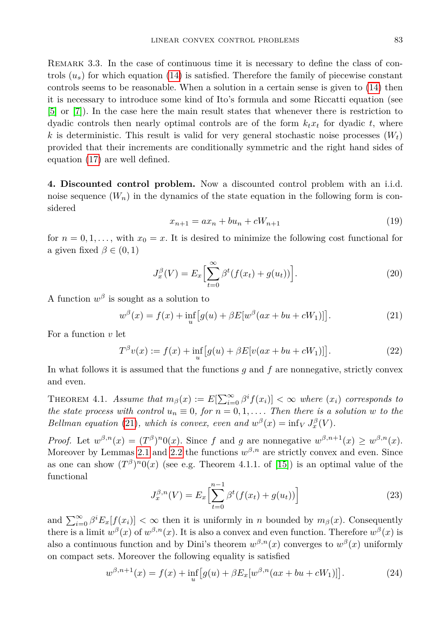REMARK 3.3. In the case of continuous time it is necessary to define the class of controls  $(u_s)$  for which equation [\(14\)](#page-4-1) is satisfied. Therefore the family of piecewise constant controls seems to be reasonable. When a solution in a certain sense is given to [\(14\)](#page-4-1) then it is necessary to introduce some kind of Ito's formula and some Riccatti equation (see [\[5\]](#page-15-5) or [\[7\]](#page-15-2)). In the case here the main result states that whenever there is restriction to dyadic controls then nearly optimal controls are of the form  $k_t x_t$  for dyadic  $t$ , where  $k$  is deterministic. This result is valid for very general stochastic noise processes  $(W_t)$ provided that their increments are conditionally symmetric and the right hand sides of equation [\(17\)](#page-5-0) are well defined.

<span id="page-6-2"></span>**4. Discounted control problem.** Now a discounted control problem with an i.i.d. noise sequence  $(W_n)$  in the dynamics of the state equation in the following form is considered

$$
x_{n+1} = ax_n + bu_n + cW_{n+1}
$$
\n(19)

for  $n = 0, 1, \ldots$ , with  $x_0 = x$ . It is desired to minimize the following cost functional for a given fixed  $\beta \in (0,1)$ 

<span id="page-6-0"></span>
$$
J_x^{\beta}(V) = E_x \left[ \sum_{t=0}^{\infty} \beta^t (f(x_t) + g(u_t)) \right].
$$
 (20)

A function  $w^{\beta}$  is sought as a solution to

$$
w^{\beta}(x) = f(x) + \inf_{u} [g(u) + \beta E[w^{\beta}(ax + bu + cW_1)]].
$$
 (21)

For a function *v* let

$$
T^{\beta}v(x) := f(x) + \inf_{u} [g(u) + \beta E[v(ax + bu + cW_1)]].
$$
 (22)

In what follows it is assumed that the functions *g* and *f* are nonnegative, strictly convex and even.

THEOREM 4.1. *Assume that*  $m_{\beta}(x) := E[\sum_{i=0}^{\infty} \beta^{i} f(x_{i})] < \infty$  where  $(x_{i})$  corresponds to *the state process with control*  $u_n \equiv 0$ , for  $n = 0, 1, \ldots$  *Then there is a solution w to the Bellman equation* [\(21\)](#page-6-0)*, which is convex, even and*  $w^{\beta}(x) = \inf_{V} J_x^{\beta}(V)$ *.* 

*Proof.* Let  $w^{\beta,n}(x) = (T^{\beta})^n 0(x)$ . Since *f* and *g* are nonnegative  $w^{\beta,n+1}(x) \geq w^{\beta,n}(x)$ . Moreover by Lemmas [2.1](#page-2-2) and [2.2](#page-2-3) the functions  $w^{\beta,n}$  are strictly convex and even. Since as one can show  $(T^{\beta})^n 0(x)$  (see e.g. Theorem 4.1.1. of [\[15\]](#page-15-10)) is an optimal value of the functional

<span id="page-6-1"></span>
$$
J_x^{\beta,n}(V) = E_x \left[ \sum_{t=0}^{n-1} \beta^t (f(x_t) + g(u_t)) \right]
$$
 (23)

and  $\sum_{i=0}^{\infty} \beta^i E_x[f(x_i)] < \infty$  then it is uniformly in *n* bounded by  $m_\beta(x)$ . Consequently there is a limit  $w^{\beta}(x)$  of  $w^{\beta,n}(x)$ . It is also a convex and even function. Therefore  $w^{\beta}(x)$  is also a continuous function and by Dini's theorem  $w^{\beta,n}(x)$  converges to  $w^{\beta}(x)$  uniformly on compact sets. Moreover the following equality is satisfied

$$
w^{\beta,n+1}(x) = f(x) + \inf_{u} \left[ g(u) + \beta E_x[w^{\beta,n}(ax + bu + cW_1)] \right].
$$
 (24)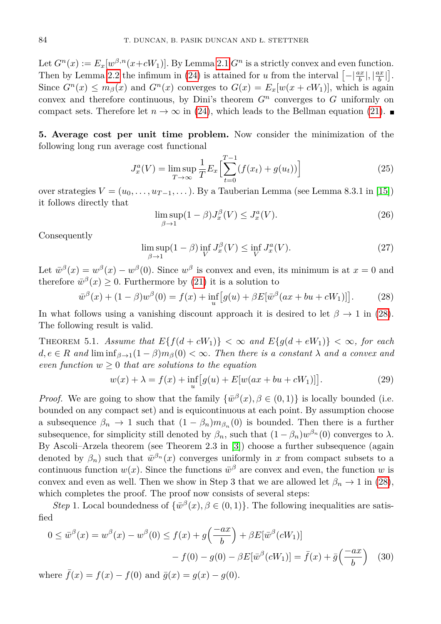Let  $G^n(x) := E_x[w^{\beta,n}(x+cW_1)]$ . By Lemma [2.1](#page-2-2)  $G^n$  is a strictly convex and even function. Then by Lemma [2.2](#page-2-3) the infimum in [\(24\)](#page-6-1) is attained for *u* from the interval  $\left[-\left|\frac{ax}{b}\right|,\left|\frac{ax}{b}\right|\right]$ . Since  $G^n(x) \leq m_\beta(x)$  and  $G^n(x)$  converges to  $G(x) = E_x[w(x + cW_1)],$  which is again convex and therefore continuous, by Dini's theorem  $G<sup>n</sup>$  converges to  $G$  uniformly on compact sets. Therefore let  $n \to \infty$  in [\(24\)](#page-6-1), which leads to the Bellman equation [\(21\)](#page-6-0).

**5. Average cost per unit time problem.** Now consider the minimization of the following long run average cost functional

$$
J_x^a(V) = \limsup_{T \to \infty} \frac{1}{T} E_x \left[ \sum_{t=0}^{T-1} (f(x_t) + g(u_t)) \right]
$$
 (25)

over strategies  $V = (u_0, \ldots, u_{T-1}, \ldots)$ . By a Tauberian Lemma (see Lemma 8.3.1 in [\[15\]](#page-15-10)) it follows directly that

<span id="page-7-3"></span><span id="page-7-0"></span>
$$
\limsup_{\beta \to 1} (1 - \beta) J_x^{\beta}(V) \le J_x^a(V). \tag{26}
$$

Consequently

$$
\limsup_{\beta \to 1} (1 - \beta) \inf_{V} J_x^{\beta}(V) \le \inf_{V} J_x^a(V). \tag{27}
$$

Let  $\bar{w}^{\beta}(x) = w^{\beta}(x) - w^{\beta}(0)$ . Since  $w^{\beta}$  is convex and even, its minimum is at  $x = 0$  and therefore  $\bar{w}^{\beta}(x) \geq 0$ . Furthermore by [\(21\)](#page-6-0) it is a solution to

$$
\bar{w}^{\beta}(x) + (1 - \beta)w^{\beta}(0) = f(x) + \inf_{u} [g(u) + \beta E[\bar{w}^{\beta}(ax + bu + cW_1)]].
$$
 (28)

In what follows using a vanishing discount approach it is desired to let  $\beta \to 1$  in [\(28\)](#page-7-0). The following result is valid.

<span id="page-7-2"></span>THEOREM 5.1. Assume that  $E\{f(d + cW_1)\} < \infty$  and  $E\{g(d + eW_1)\} < \infty$ , for each  $d, e \in R$  *and*  $\liminf_{\beta \to 1} (1 - \beta) m_{\beta}(0) < \infty$ . Then there is a constant  $\lambda$  and a convex and *even function*  $w \geq 0$  *that are solutions to the equation* 

<span id="page-7-1"></span>
$$
w(x) + \lambda = f(x) + \inf_{u} [g(u) + E[w(ax + bu + cW_1)]].
$$
 (29)

*Proof.* We are going to show that the family  $\{\bar{w}^{\beta}(x), \beta \in (0,1)\}\$ is locally bounded (i.e. bounded on any compact set) and is equicontinuous at each point. By assumption choose a subsequence  $\beta_n \to 1$  such that  $(1 - \beta_n)m_{\beta_n}(0)$  is bounded. Then there is a further subsequence, for simplicity still denoted by  $\beta_n$ , such that  $(1 - \beta_n)w^{\beta_n}(0)$  converges to  $\lambda$ . By Ascoli–Arzela theorem (see Theorem 2.3 in [\[3\]](#page-15-12)) choose a further subsequence (again denoted by  $\beta_n$ ) such that  $\bar{w}^{\beta_n}(x)$  converges uniformly in *x* from compact subsets to a continuous function  $w(x)$ . Since the functions  $\bar{w}^{\beta}$  are convex and even, the function *w* is convex and even as well. Then we show in Step 3 that we are allowed let  $\beta_n \to 1$  in [\(28\)](#page-7-0), which completes the proof. The proof now consists of several steps:

*Step* 1. Local boundedness of  $\{\bar{w}^{\beta}(x), \beta \in (0,1)\}\$ . The following inequalities are satisfied

$$
0 \le \overline{w}^{\beta}(x) = w^{\beta}(x) - w^{\beta}(0) \le f(x) + g\left(\frac{-ax}{b}\right) + \beta E[\overline{w}^{\beta}(cW_1)]
$$

$$
- f(0) - g(0) - \beta E[\overline{w}^{\beta}(cW_1)] = \overline{f}(x) + \overline{g}\left(\frac{-ax}{b}\right) \tag{30}
$$

where  $\bar{f}(x) = f(x) - f(0)$  and  $\bar{g}(x) = g(x) - g(0)$ .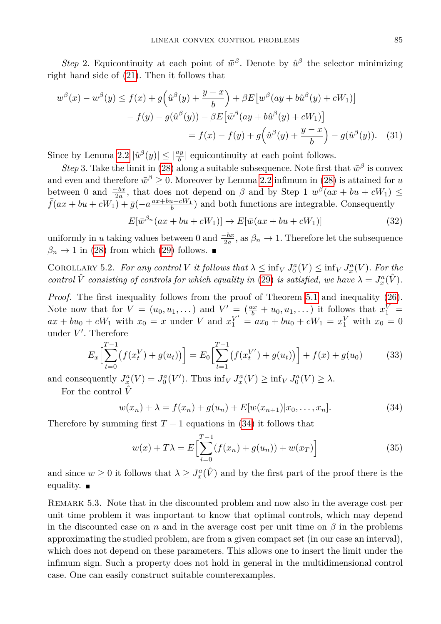*Step* 2. Equicontinuity at each point of  $\bar{w}^{\beta}$ . Denote by  $\hat{u}^{\beta}$  the selector minimizing right hand side of [\(21\)](#page-6-0). Then it follows that

$$
\bar{w}^{\beta}(x) - \bar{w}^{\beta}(y) \le f(x) + g\left(\hat{u}^{\beta}(y) + \frac{y-x}{b}\right) + \beta E\left[\bar{w}^{\beta}(ay + b\hat{u}^{\beta}(y) + cW_1)\right]
$$

$$
- f(y) - g(\hat{u}^{\beta}(y)) - \beta E\left[\bar{w}^{\beta}(ay + b\hat{u}^{\beta}(y) + cW_1)\right]
$$

$$
= f(x) - f(y) + g\left(\hat{u}^{\beta}(y) + \frac{y-x}{b}\right) - g(\hat{u}^{\beta}(y)). \quad (31)
$$

Since by Lemma [2.2](#page-2-3)  $|\hat{u}^{\beta}(y)| \leq |\frac{dy}{b}|$  equicontinuity at each point follows.

*Step* 3. Take the limit in [\(28\)](#page-7-0) along a suitable subsequence. Note first that  $\bar{w}^{\beta}$  is convex and even and therefore  $\bar{w}^{\beta} \geq 0$ . Moreover by Lemma [2.2](#page-2-3) infimum in [\(28\)](#page-7-0) is attained for *u* between 0 and  $\frac{-bx}{2a}$ , that does not depend on  $\beta$  and by Step 1  $\bar{w}^{\beta}(ax + bu + cW_1) \le$  $\int \bar{f}(ax + bu + cW_1) + \bar{g}(-a \frac{ax + bu + cW_1}{b})$  and both functions are integrable. Consequently

$$
E[\bar{w}^{\beta_n}(ax+bu+cW_1)] \to E[\bar{w}(ax+bu+cW_1)] \tag{32}
$$

uniformly in *u* taking values between 0 and  $\frac{-bx}{2a}$ , as  $\beta_n \to 1$ . Therefore let the subsequence  $\beta_n \to 1$  in [\(28\)](#page-7-0) from which [\(29\)](#page-7-1) follows.

COROLLARY 5.2. For any control V it follows that  $\lambda \leq \inf_{V} J_0^a(V) \leq \inf_{V} J_x^a(V)$ . For the *control*  $\hat{V}$  *consisting of controls for which equality in* [\(29\)](#page-7-1) *is satisfied, we have*  $\lambda = J_x^a(\hat{V})$ *.* 

*Proof.* The first inequality follows from the proof of Theorem [5.1](#page-7-2) and inequality [\(26\)](#page-7-3). Note now that for  $V = (u_0, u_1, \dots)$  and  $V' = (\frac{ax}{b} + u_0, u_1, \dots)$  it follows that  $x_1^V =$  $ax + bu_0 + cW_1$  with  $x_0 = x$  under *V* and  $x_1^{V'} = ax_0 + bu_0 + cW_1 = x_1^{V}$  with  $x_0 = 0$ under  $V'$ . Therefore

$$
E_x \left[ \sum_{t=0}^{T-1} \left( f(x_t^V) + g(u_t) \right) \right] = E_0 \left[ \sum_{t=1}^{T-1} \left( f(x_t^{V'}) + g(u_t) \right) \right] + f(x) + g(u_0) \tag{33}
$$

and consequently  $J_x^a(V) = J_0^a(V')$ . Thus  $\inf_V J_x^a(V) \ge \inf_V J_0^a(V) \ge \lambda$ .

For the control  $\hat{V}$ 

<span id="page-8-0"></span>
$$
w(x_n) + \lambda = f(x_n) + g(u_n) + E[w(x_{n+1})|x_0, \dots, x_n].
$$
\n(34)

Therefore by summing first  $T-1$  equations in [\(34\)](#page-8-0) it follows that

$$
w(x) + T\lambda = E\left[\sum_{i=0}^{T-1} (f(x_n) + g(u_n)) + w(x_T)\right]
$$
 (35)

and since  $w \geq 0$  it follows that  $\lambda \geq J_x^a(\hat{V})$  and by the first part of the proof there is the equality.  $\blacksquare$ 

Remark 5.3. Note that in the discounted problem and now also in the average cost per unit time problem it was important to know that optimal controls, which may depend in the discounted case on *n* and in the average cost per unit time on  $\beta$  in the problems approximating the studied problem, are from a given compact set (in our case an interval), which does not depend on these parameters. This allows one to insert the limit under the infimum sign. Such a property does not hold in general in the multidimensional control case. One can easily construct suitable counterexamples.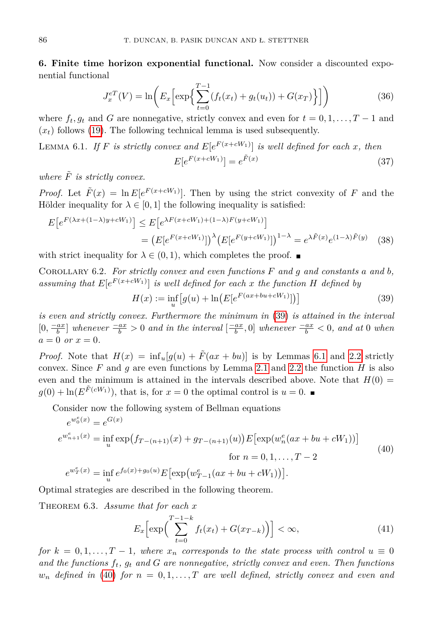**6. Finite time horizon exponential functional.** Now consider a discounted exponential functional

$$
J_x^{eT}(V) = \ln\bigg(E_x \bigg[\exp\bigg\{\sum_{t=0}^{T-1} (f_t(x_t) + g_t(u_t)) + G(x_T)\bigg\}\bigg]\bigg) \tag{36}
$$

where  $f_t, g_t$  and *G* are nonnegative, strictly convex and even for  $t = 0, 1, \ldots, T-1$  and  $(x<sub>t</sub>)$  follows [\(19\)](#page-6-2). The following technical lemma is used subsequently.

<span id="page-9-1"></span>LEMMA 6.1. *If F is strictly convex and*  $E[e^{F(x+cW_1)}]$  *is well defined for each x, then*  $E[e^{F(x+ cW_1)}] = e^{\tilde{F}(x)}$ (37)

*where*  $\tilde{F}$  *is strictly convex.* 

*Proof.* Let  $\tilde{F}(x) = \ln E[e^{F(x+ cW_1)}]$ . Then by using the strict convexity of *F* and the Hölder inequality for  $\lambda \in [0,1]$  the following inequality is satisfied:

$$
E[e^{F(\lambda x + (1-\lambda)y + cW_1)}] \le E[e^{\lambda F(x + cW_1) + (1-\lambda)F(y + cW_1)}]
$$
  
=  $(E[e^{F(x + cW_1)}])^{\lambda} (E[e^{F(y + cW_1)}])^{1-\lambda} = e^{\lambda \tilde{F}(x)} e^{(1-\lambda)\tilde{F}(y)}$  (38)

with strict inequality for  $\lambda \in (0,1)$ , which completes the proof.  $\blacksquare$ 

<span id="page-9-4"></span>Corollary 6.2. *For strictly convex and even functions F and g and constants a and b,* assuming that  $E[e^{F(x+ cW_1)}]$  is well defined for each *x* the function *H* defined by

<span id="page-9-2"></span><span id="page-9-0"></span>
$$
H(x) := \inf_{u} \left[ g(u) + \ln \left( E[e^{F(ax + bu + cW_1)}] \right) \right]
$$
 (39)

*is even and strictly convex. Furthermore the minimum in* [\(39\)](#page-9-0) *is attained in the interval*  $[0, \frac{-ax}{b}]$  whenever  $\frac{-ax}{b} > 0$  and in the interval  $[\frac{-ax}{b}, 0]$  whenever  $\frac{-ax}{b} < 0$ , and at 0 when  $a = 0$  *or*  $x = 0$ *.* 

*Proof.* Note that  $H(x) = \inf_{u} [g(u) + \tilde{F}(ax + bu)]$  is by Lemmas [6.1](#page-9-1) and [2.2](#page-2-3) strictly convex. Since  $F$  and  $g$  are even functions by Lemma [2.1](#page-2-2) and [2.2](#page-2-3) the function  $H$  is also even and the minimum is attained in the intervals described above. Note that  $H(0)$  =  $g(0) + \ln(E^{\tilde{F}(cW_1)})$ , that is, for  $x = 0$  the optimal control is  $u = 0$ .

Consider now the following system of Bellman equations

$$
e^{w_0^e(x)} = e^{G(x)}
$$
  
\n
$$
e^{w_{n+1}^e(x)} = \inf_{u} \exp(f_{T-(n+1)}(x) + g_{T-(n+1)}(u)) E[\exp(w_n^e(ax + bu + cW_1))]
$$
  
\nfor  $n = 0, 1, ..., T-2$   
\n
$$
e^{w_T^e(x)} = \inf_{u} e^{f_0(x) + g_0(u)} E[\exp(w_{T-1}^e(ax + bu + cW_1))].
$$
\n(40)

Optimal strategies are described in the following theorem.

<span id="page-9-5"></span>Theorem 6.3. *Assume that for each x*

<span id="page-9-3"></span>
$$
E_x\left[\exp\left(\sum_{t=0}^{T-1-k} f_t(x_t) + G(x_{T-k})\right)\right] < \infty,\tag{41}
$$

*for*  $k = 0, 1, \ldots, T-1$ , where  $x_n$  corresponds to the state process with control  $u \equiv 0$ *and the functions ft, g<sup>t</sup> and G are nonnegative, strictly convex and even. Then functions*  $w_n$  *defined in* [\(40\)](#page-9-2) *for*  $n = 0, 1, \ldots, T$  *are well defined, strictly convex and even and*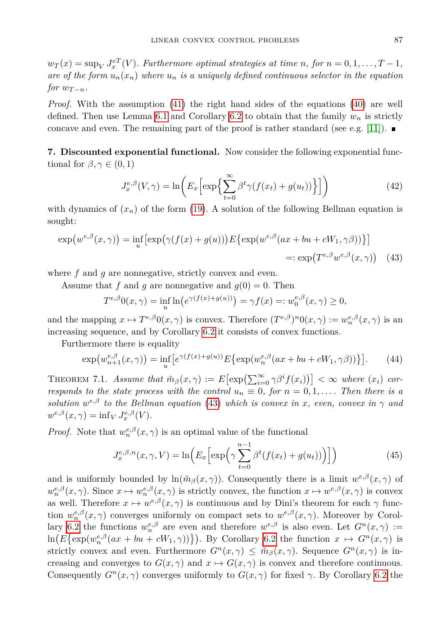$w_T(x) = \sup_V J_x^{eT}(V)$ *. Furthermore optimal strategies at time n, for*  $n = 0, 1, \ldots, T - 1$ *, are of the form*  $u_n(x_n)$  *where*  $u_n$  *is a uniquely defined continuous selector in the equation for*  $w_{T-n}$ *.* 

*Proof.* With the assumption [\(41\)](#page-9-3) the right hand sides of the equations [\(40\)](#page-9-2) are well defined. Then use Lemma [6.1](#page-9-1) and Corollary [6.2](#page-9-4) to obtain that the family *w<sup>n</sup>* is strictly concave and even. The remaining part of the proof is rather standard (see e.g. [\[11\]](#page-15-9)).

**7. Discounted exponential functional.** Now consider the following exponential functional for  $\beta, \gamma \in (0, 1)$ 

<span id="page-10-0"></span>
$$
J_x^{e,\beta}(V,\gamma) = \ln\left(E_x\left[\exp\left\{\sum_{t=0}^{\infty} \beta^t \gamma(f(x_t) + g(u_t))\right\}\right]\right) \tag{42}
$$

with dynamics of  $(x_n)$  of the form [\(19\)](#page-6-2). A solution of the following Bellman equation is sought:

$$
\exp(w^{e,\beta}(x,\gamma)) = \inf_{u} \left[ \exp(\gamma(f(x) + g(u))) E\{ \exp(w^{e,\beta}(ax + bu + cW_1, \gamma\beta)) \} \right]
$$
  

$$
=: \exp(T^{e,\beta}w^{e,\beta}(x,\gamma)) \quad (43)
$$

where f and q are nonnegative, strictly convex and even.

Assume that f and q are nonnegative and  $q(0) = 0$ . Then

<span id="page-10-1"></span>
$$
T^{e,\beta}0(x,\gamma) = \inf_{u} \ln(e^{\gamma(f(x) + g(u))}) = \gamma f(x) =: w_0^{e,\beta}(x,\gamma) \ge 0,
$$

and the mapping  $x \mapsto T^{e,\beta}0(x,\gamma)$  is convex. Therefore  $(T^{e,\beta})^n0(x,\gamma) := w_n^{e,\beta}(x,\gamma)$  is an increasing sequence, and by Corollary [6.2](#page-9-4) it consists of convex functions.

Furthermore there is equality

$$
\exp(w_{n+1}^{e,\beta}(x,\gamma)) = \inf_{u} \left[ e^{\gamma(f(x)+g(u))} E\{ \exp(w_n^{e,\beta}(ax+bu+cW_1,\gamma\beta)) \} \right].
$$
 (44)

THEOREM 7.1. *Assume that*  $\tilde{m}_{\beta}(x,\gamma) := E\left[\exp\left(\sum_{i=0}^{\infty} \gamma \beta^{i} f(x_{i})\right)\right] < \infty$  where  $(x_{i})$  cor*responds to the state process with the control*  $u_n \equiv 0$ , for  $n = 0, 1, \ldots$  *Then there is a solution*  $w^{e,\beta}$  *to the Bellman equation* [\(43\)](#page-10-0) *which is convex in x, even, convex in*  $\gamma$  *and*  $w^{e,\beta}(x,\gamma) = \inf_{V} J_x^{e,\beta}(V)$ .

*Proof.* Note that  $w_n^{e,\beta}(x,\gamma)$  is an optimal value of the functional

$$
J_x^{e,\beta,n}(x,\gamma,V) = \ln\left(E_x\left[\exp\left(\gamma\sum_{t=0}^{n-1}\beta^t(f(x_t) + g(u_t))\right)\right]\right)
$$
(45)

and is uniformly bounded by  $ln(m_\beta(x,\gamma))$ . Consequently there is a limit  $w^{\epsilon,\beta}(x,\gamma)$  of  $w_n^{e,\beta}(x,\gamma)$ . Since  $x \mapsto w_n^{e,\beta}(x,\gamma)$  is strictly convex, the function  $x \mapsto w^{e,\beta}(x,\gamma)$  is convex as well. Therefore  $x \mapsto w^{\epsilon,\beta}(x,\gamma)$  is continuous and by Dini's theorem for each  $\gamma$  function  $w_n^{e,\beta}(x,\gamma)$  converges uniformly on compact sets to  $w^{e,\beta}(x,\gamma)$ . Moreover by Corol-lary [6.2](#page-9-4) the functions  $w_n^{e,\beta}$  are even and therefore  $w^{e,\beta}$  is also even. Let  $G^n(x,\gamma) :=$  $\ln(E\{\exp(w_n^{e,\beta}(ax+bu+cW_1,\gamma))\})$ . By Corollary [6.2](#page-9-4) the function  $x \mapsto G^n(x,\gamma)$  is strictly convex and even. Furthermore  $G^n(x, \gamma) \leq \tilde{m}_\beta(x, \gamma)$ . Sequence  $G^n(x, \gamma)$  is increasing and converges to  $G(x, \gamma)$  and  $x \mapsto G(x, \gamma)$  is convex and therefore continuous. Consequently  $G<sup>n</sup>(x, \gamma)$  converges uniformly to  $G(x, \gamma)$  for fixed  $\gamma$ . By Corollary [6.2](#page-9-4) the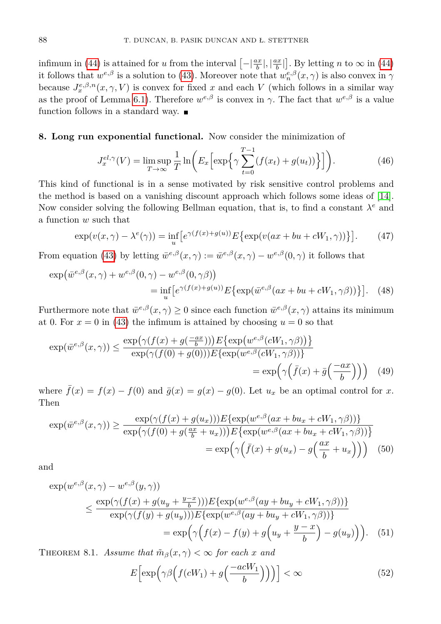infimum in [\(44\)](#page-10-1) is attained for *u* from the interval  $\left[-\left|\frac{ax}{b}\right|,\left|\frac{ax}{b}\right|\right]$ . By letting *n* to  $\infty$  in (44) it follows that  $w^{e,\beta}$  is a solution to [\(43\)](#page-10-0). Moreover note that  $w^{e,\beta}_n(x,\gamma)$  is also convex in  $\gamma$ because  $J_x^{e,\beta,n}(x,\gamma,V)$  is convex for fixed *x* and each *V* (which follows in a similar way as the proof of Lemma [6.1\)](#page-9-1). Therefore  $w^{e,\beta}$  is convex in  $\gamma$ . The fact that  $w^{e,\beta}$  is a value function follows in a standard way.  $\blacksquare$ 

## **8. Long run exponential functional.** Now consider the minimization of

$$
J_x^{el,\gamma}(V) = \limsup_{T \to \infty} \frac{1}{T} \ln \left( E_x \left[ \exp \left\{ \gamma \sum_{t=0}^{T-1} (f(x_t) + g(u_t)) \right\} \right] \right). \tag{46}
$$

This kind of functional is in a sense motivated by risk sensitive control problems and the method is based on a vanishing discount approach which follows some ideas of [\[14\]](#page-15-13). Now consider solving the following Bellman equation, that is, to find a constant *λ <sup>e</sup>* and a function *w* such that

<span id="page-11-1"></span>
$$
\exp(v(x,\gamma) - \lambda^e(\gamma)) = \inf_u \left[ e^{\gamma(f(x) + g(u))} E\left\{ \exp(v(ax + bu + cW_1, \gamma)) \right\} \right].
$$
 (47)

From equation [\(43\)](#page-10-0) by letting  $\bar{w}^{e,\beta}(x,\gamma) := \bar{w}^{e,\beta}(x,\gamma) - w^{e,\beta}(0,\gamma)$  it follows that

$$
\exp(\bar{w}^{e,\beta}(x,\gamma) + w^{e,\beta}(0,\gamma) - w^{e,\beta}(0,\gamma\beta))
$$
  
= 
$$
\inf_{u} \left[ e^{\gamma(f(x)+g(u))} E\{\exp(\bar{w}^{e,\beta}(ax+bu+cW_1,\gamma\beta))\}\right].
$$
 (48)

Furthermore note that  $\bar{w}^{e,\beta}(x,\gamma) \geq 0$  since each function  $\bar{w}^{e,\beta}(x,\gamma)$  attains its minimum at 0. For  $x = 0$  in [\(43\)](#page-10-0) the infimum is attained by choosing  $u = 0$  so that

$$
\exp(\bar{w}^{e,\beta}(x,\gamma)) \le \frac{\exp(\gamma(f(x) + g(\frac{-ax}{b})))E\{\exp(w^{e,\beta}(cW_1,\gamma\beta))\}}{\exp(\gamma(f(0) + g(0)))E\{\exp(w^{e,\beta}(cW_1,\gamma\beta))\}} = \exp\left(\gamma\left(\bar{f}(x) + \bar{g}\left(\frac{-ax}{b}\right)\right)\right) \tag{49}
$$

where  $\bar{f}(x) = f(x) - f(0)$  and  $\bar{g}(x) = g(x) - g(0)$ . Let  $u_x$  be an optimal control for *x*. Then

$$
\exp(\bar{w}^{e,\beta}(x,\gamma)) \ge \frac{\exp(\gamma(f(x) + g(u_x)))E\{\exp(w^{e,\beta}(ax + bu_x + cW_1, \gamma\beta))\}}{\exp(\gamma(f(0) + g(\frac{ax}{b} + u_x)))E\{\exp(w^{e,\beta}(ax + bu_x + cW_1, \gamma\beta))\}}
$$

$$
= \exp\left(\gamma(\bar{f}(x) + g(u_x) - g(\frac{ax}{b} + u_x))\right) \tag{50}
$$

and

$$
\exp(w^{e,\beta}(x,\gamma) - w^{e,\beta}(y,\gamma))
$$
\n
$$
\leq \frac{\exp(\gamma(f(x) + g(u_y + \frac{y-x}{b})))E\{\exp(w^{e,\beta}(ay + bu_y + cW_1, \gamma\beta))\}}{\exp(\gamma(f(y) + g(u_y)))E\{\exp(w^{e,\beta}(ay + bu_y + cW_1, \gamma\beta))\}}
$$
\n
$$
= \exp\left(\gamma\left(f(x) - f(y) + g\left(u_y + \frac{y-x}{b}\right) - g(u_y)\right)\right). \quad (51)
$$

<span id="page-11-4"></span>THEOREM 8.1. *Assume that*  $\tilde{m}_{\beta}(x, \gamma) < \infty$  for each *x* and

<span id="page-11-3"></span><span id="page-11-2"></span><span id="page-11-0"></span>
$$
E\Big[\exp\Big(\gamma\beta\Big(f(cW_1)+g\Big(\frac{-acW_1}{b}\Big)\Big)\Big)\Big] < \infty \tag{52}
$$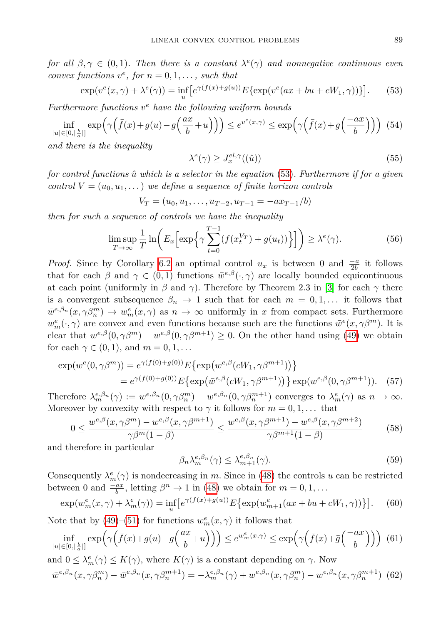*for all*  $\beta, \gamma \in (0,1)$ *. Then there is a constant*  $\lambda^e(\gamma)$  *and nonnegative continuous even convex functions*  $v^e$ *, for*  $n = 0, 1, \ldots$ *, such that* 

$$
\exp(v^e(x,\gamma) + \lambda^e(\gamma)) = \inf_u \left[ e^{\gamma(f(x) + g(u))} E\{\exp(v^e(ax + bu + cW_1, \gamma))\} \right].\tag{53}
$$

*Furthermore functions v <sup>e</sup> have the following uniform bounds*

$$
\inf_{|u| \in [0, |\frac{b}{a}|]} \exp\left(\gamma\left(\bar{f}(x) + g(u) - g\left(\frac{ax}{b} + u\right)\right)\right) \le e^{v^e(x,\gamma)} \le \exp\left(\gamma\left(\bar{f}(x) + \bar{g}\left(\frac{-ax}{b}\right)\right)\right) \tag{54}
$$

*and there is the inequality*

<span id="page-12-6"></span><span id="page-12-5"></span><span id="page-12-4"></span><span id="page-12-0"></span>
$$
\lambda^e(\gamma) \ge J_x^{el,\gamma}((\hat{u}))\tag{55}
$$

*for control functions*  $\hat{u}$  *which is a selector in the equation* [\(53\)](#page-12-0). Furthermore if for a given *control*  $V = (u_0, u_1, \dots)$  *we define a sequence of finite horizon controls* 

 $V_T = (u_0, u_1, \ldots, u_{T-2}, u_{T-1} = -ax_{T-1}/b)$ 

*then for such a sequence of controls we have the inequality*

$$
\limsup_{T \to \infty} \frac{1}{T} \ln \left( E_x \left[ \exp \left\{ \gamma \sum_{t=0}^{T-1} (f(x_t^{V_T}) + g(u_t)) \right\} \right] \right) \ge \lambda^e(\gamma). \tag{56}
$$

*Proof.* Since by Corollary [6.2](#page-9-4) an optimal control  $u_x$  is between 0 and  $\frac{-a}{2b}$  it follows that for each  $\beta$  and  $\gamma \in (0,1)$  functions  $\bar{w}^{e,\beta}(\cdot,\gamma)$  are locally bounded equicontinuous at each point (uniformly in  $\beta$  and  $\gamma$ ). Therefore by Theorem 2.3 in [\[3\]](#page-15-12) for each  $\gamma$  there is a convergent subsequence  $\beta_n \to 1$  such that for each  $m = 0, 1, \ldots$  it follows that  $\bar{w}^{e,\beta_n}(x,\gamma\beta_n^m) \to w_m^e(x,\gamma)$  as  $n \to \infty$  uniformly in *x* from compact sets. Furthermore  $w_m^e(\cdot, \gamma)$  are convex and even functions because such are the functions  $\bar{w}^e(x, \gamma \beta^m)$ . It is clear that  $w^{e,\beta}(0,\gamma\beta^m) - w^{e,\beta}(0,\gamma\beta^{m+1}) \geq 0$ . On the other hand using [\(49\)](#page-11-0) we obtain for each  $\gamma \in (0, 1)$ , and  $m = 0, 1, ...$ 

$$
\exp(w^{e}(0, \gamma \beta^{m})) = e^{\gamma(f(0) + g(0))} E\{\exp(w^{e, \beta}(cW_1, \gamma \beta^{m+1}))\}
$$
  
=  $e^{\gamma(f(0) + g(0))} E\{\exp(\bar{w}^{e, \beta}(cW_1, \gamma \beta^{m+1}))\} \exp(w^{e, \beta}(0, \gamma \beta^{m+1})).$  (57)

Therefore  $\lambda_m^{e,\beta_n}(\gamma) := w^{e,\beta_n}(0,\gamma\beta_n^m) - w^{e,\beta_n}(0,\gamma\beta_n^{m+1})$  converges to  $\lambda_m^e(\gamma)$  as  $n \to \infty$ . Moreover by convexity with respect to  $\gamma$  it follows for  $m = 0, 1, \ldots$  that

$$
0 \le \frac{w^{e,\beta}(x,\gamma\beta^m) - w^{e,\beta}(x,\gamma\beta^{m+1})}{\gamma\beta^m(1-\beta)} \le \frac{w^{e,\beta}(x,\gamma\beta^{m+1}) - w^{e,\beta}(x,\gamma\beta^{m+2})}{\gamma\beta^{m+1}(1-\beta)}
$$
(58)

and therefore in particular

<span id="page-12-3"></span><span id="page-12-2"></span><span id="page-12-1"></span>
$$
\beta_n \lambda_m^{e,\beta_n}(\gamma) \le \lambda_{m+1}^{e,\beta_n}(\gamma). \tag{59}
$$

Consequently  $\lambda_m^e(\gamma)$  is nondecreasing in *m*. Since in [\(48\)](#page-11-1) the controls *u* can be restricted between 0 and  $\frac{-ax}{b}$ , letting  $\beta^n \to 1$  in [\(48\)](#page-11-1) we obtain for  $m = 0, 1, \ldots$ 

$$
\exp(w_m^e(x,\gamma) + \lambda_m^e(\gamma)) = \inf_u \left[ e^{\gamma(f(x) + g(u))} E\{ \exp(w_{m+1}^e(ax + bu + cW_1, \gamma)) \} \right].
$$
 (60)

Note that by [\(49\)](#page-11-0)–[\(51\)](#page-11-2) for functions  $w_m^e(x, \gamma)$  it follows that

$$
\inf_{|u| \in [0, |\frac{b}{a}|]} \exp\left(\gamma\left(\bar{f}(x) + g(u) - g\left(\frac{ax}{b} + u\right)\right)\right) \le e^{w_m^e(x,\gamma)} \le \exp\left(\gamma\left(\bar{f}(x) + \bar{g}\left(\frac{-ax}{b}\right)\right)\right) \tag{61}
$$

and  $0 \leq \lambda_m^e(\gamma) \leq K(\gamma)$ , where  $K(\gamma)$  is a constant depending on  $\gamma$ . Now  $\bar{w}^{e,\beta_n}(x,\gamma\beta_n^m) - \bar{w}^{e,\beta_n}(x,\gamma\beta_n^{m+1}) = -\lambda_m^{e,\beta_n}(\gamma) + w^{e,\beta_n}(x,\gamma\beta_n^m) - w^{e,\beta_n}(x,\gamma\beta_n^{m+1})$  (62)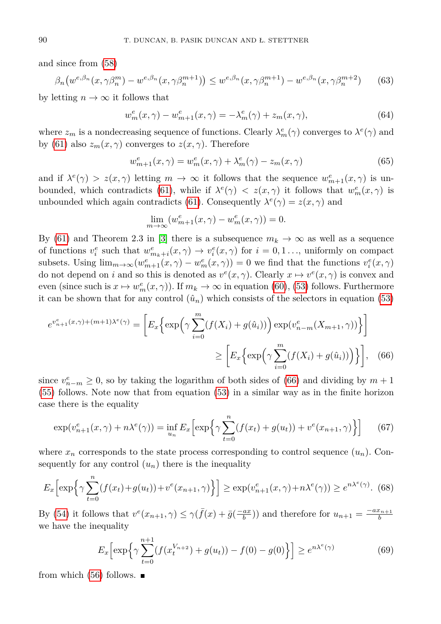and since from [\(58\)](#page-12-1)

$$
\beta_n \big( w^{e,\beta_n}(x, \gamma \beta_n^m) - w^{e,\beta_n}(x, \gamma \beta_n^{m+1}) \big) \le w^{e,\beta_n}(x, \gamma \beta_n^{m+1}) - w^{e,\beta_n}(x, \gamma \beta_n^{m+2}) \tag{63}
$$

by letting  $n \to \infty$  it follows that

$$
w_m^e(x, \gamma) - w_{m+1}^e(x, \gamma) = -\lambda_m^e(\gamma) + z_m(x, \gamma),
$$
\n(64)

where  $z_m$  is a nondecreasing sequence of functions. Clearly  $\lambda_m^e(\gamma)$  converges to  $\lambda^e(\gamma)$  and by [\(61\)](#page-12-2) also  $z_m(x, \gamma)$  converges to  $z(x, \gamma)$ . Therefore

$$
w_{m+1}^{e}(x,\gamma) = w_{m}^{e}(x,\gamma) + \lambda_{m}^{e}(\gamma) - z_{m}(x,\gamma)
$$
\n(65)

and if  $\lambda^e(\gamma) > z(x, \gamma)$  letting  $m \to \infty$  it follows that the sequence  $w_{m+1}^e(x, \gamma)$  is un-bounded, which contradicts [\(61\)](#page-12-2), while if  $\lambda^e(\gamma) < z(x, \gamma)$  it follows that  $w_m^e(x, \gamma)$  is unbounded which again contradicts [\(61\)](#page-12-2). Consequently  $\lambda^e(\gamma) = z(x, \gamma)$  and

<span id="page-13-0"></span>
$$
\lim_{m \to \infty} (w_{m+1}^e(x, \gamma) - w_m^e(x, \gamma)) = 0.
$$

By [\(61\)](#page-12-2) and Theorem 2.3 in [\[3\]](#page-15-12) there is a subsequence  $m_k \to \infty$  as well as a sequence of functions  $v_i^e$  such that  $w_{m_k+i}^e(x,\gamma) \to v_i^e(x,\gamma)$  for  $i = 0,1...$ , uniformly on compact subsets. Using  $\lim_{m\to\infty} (w_{m+1}^e(x,\gamma) - w_m^e(x,\gamma)) = 0$  we find that the functions  $v_i^e(x,\gamma)$ do not depend on *i* and so this is denoted as  $v^e(x, \gamma)$ . Clearly  $x \mapsto v^e(x, \gamma)$  is convex and even (since such is  $x \mapsto w_m^e(x, \gamma)$ ). If  $m_k \to \infty$  in equation [\(60\)](#page-12-3), [\(53\)](#page-12-0) follows. Furthermore it can be shown that for any control  $(\hat{u}_n)$  which consists of the selectors in equation [\(53\)](#page-12-0)

$$
e^{v_{n+1}^e(x,\gamma)+(m+1)\lambda^e(\gamma)} = \left[E_x\left\{\exp\left(\gamma\sum_{i=0}^m(f(X_i) + g(\hat{u}_i))\right)\exp(v_{n-m}^e(X_{m+1},\gamma))\right\}\right]
$$

$$
\geq \left[E_x\left\{\exp\left(\gamma\sum_{i=0}^m(f(X_i) + g(\hat{u}_i))\right)\right\}\right], \quad (66)
$$

since  $v_{n-m}^e \geq 0$ , so by taking the logarithm of both sides of [\(66\)](#page-13-0) and dividing by  $m+1$ [\(55\)](#page-12-4) follows. Note now that from equation [\(53\)](#page-12-0) in a similar way as in the finite horizon case there is the equality

$$
\exp(v_{n+1}^e(x,\gamma) + n\lambda^e(\gamma)) = \inf_{u_n} E_x \left[ \exp\left\{ \gamma \sum_{t=0}^n (f(x_t) + g(u_t)) + v^e(x_{n+1},\gamma) \right\} \right]
$$
(67)

where  $x_n$  corresponds to the state process corresponding to control sequence  $(u_n)$ . Consequently for any control  $(u_n)$  there is the inequality

$$
E_x\left[\exp\left\{\gamma\sum_{t=0}^n (f(x_t) + g(u_t)) + v^e(x_{n+1}, \gamma)\right\}\right] \ge \exp(v_{n+1}^e(x, \gamma) + n\lambda^e(\gamma)) \ge e^{n\lambda^e(\gamma)}.
$$
 (68)

By [\(54\)](#page-12-5) it follows that  $v^e(x_{n+1}, \gamma) \leq \gamma(\bar{f}(x) + \bar{g}(\frac{-ax}{b}))$  and therefore for  $u_{n+1} = \frac{-ax_{n+1}}{b}$ we have the inequality

$$
E_x \left[ \exp \left\{ \gamma \sum_{t=0}^{n+1} (f(x_t^{V_{n+2}}) + g(u_t)) - f(0) - g(0) \right\} \right] \ge e^{n\lambda^e(\gamma)} \tag{69}
$$

from which [\(56\)](#page-12-6) follows.  $\blacksquare$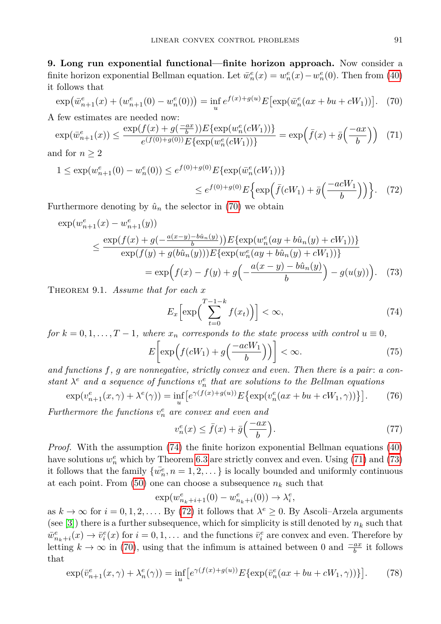**9. Long run exponential functional—finite horizon approach.** Now consider a finite horizon exponential Bellman equation. Let  $\bar{w}_n^e(x) = w_n^e(x) - w_n^e(0)$ . Then from [\(40\)](#page-9-2) it follows that

<span id="page-14-2"></span><span id="page-14-0"></span>
$$
\exp(\bar{w}_{n+1}^e(x) + (w_{n+1}^e(0) - w_n^e(0))) = \inf_u e^{f(x) + g(u)} E[\exp(\bar{w}_n^e(ax + bu + cW_1))]. \tag{70}
$$

A few estimates are needed now:

$$
\exp(\bar{w}_{n+1}^e(x)) \le \frac{\exp(f(x) + g(\frac{-ax}{b}))E\{\exp(w_n^e(cW_1))\}}{e^{(f(0) + g(0))}E\{\exp(w_n^e(cW_1))\}} = \exp\left(\bar{f}(x) + \bar{g}\left(\frac{-ax}{b}\right)\right) \tag{71}
$$

and for  $n \geq 2$ 

$$
1 \le \exp(w_{n+1}^e(0) - w_n^e(0)) \le e^{f(0) + g(0)} E\{\exp(\bar{w}_n^e(cW_1))\}
$$
  

$$
\le e^{f(0) + g(0)} E\{\exp(\bar{f}(cW_1) + \bar{g}(\frac{-acW_1}{b}))\}.
$$
 (72)

Furthermore denoting by  $\hat{u}_n$  the selector in [\(70\)](#page-14-0) we obtain

$$
\exp(w_{n+1}^e(x) - w_{n+1}^e(y))
$$
\n
$$
\leq \frac{\exp(f(x) + g(-\frac{a(x-y) - b\hat{u}_n(y)}{b})) E\{\exp(w_n^e(ay + b\hat{u}_n(y) + cW_1))\}}{\exp(f(y) + g(b\hat{u}_n(y))) E\{\exp(w_n^e(ay + b\hat{u}_n(y) + cW_1))\}}
$$
\n
$$
= \exp\left(f(x) - f(y) + g(-\frac{a(x-y) - b\hat{u}_n(y)}{b}) - g(u(y))\right). \tag{73}
$$

Theorem 9.1. *Assume that for each x*

<span id="page-14-4"></span><span id="page-14-3"></span><span id="page-14-1"></span>
$$
E_x\left[\exp\left(\sum_{t=0}^{T-1-k} f(x_t)\right)\right] < \infty,\tag{74}
$$

*for*  $k = 0, 1, \ldots, T-1$ *, where*  $x_n$  *corresponds to the state process with control*  $u \equiv 0$ *,* 

$$
E\left[\exp\left(f(cW_1) + g\left(\frac{-acW_1}{b}\right)\right)\right] < \infty. \tag{75}
$$

*and functions f, g are nonnegative, strictly convex and even. Then there is a pair* : *a constant*  $\lambda^e$  *and a sequence* of functions  $v_n^e$  *that are solutions to the Bellman equations* 

$$
\exp(v_{n+1}^e(x,\gamma) + \lambda^e(\gamma)) = \inf_u \left[ e^{\gamma(f(x) + g(u))} E\left\{ \exp(v_n^e(ax + bu + cW_1, \gamma)) \right\} \right].
$$
 (76)

*Furthermore the functions*  $v_n^e$  *are convex and even and* 

<span id="page-14-6"></span><span id="page-14-5"></span>
$$
v_n^e(x) \le \bar{f}(x) + \bar{g}\left(\frac{-ax}{b}\right). \tag{77}
$$

*Proof.* With the assumption [\(74\)](#page-14-1) the finite horizon exponential Bellman equations [\(40\)](#page-9-2) have solutions  $w_n^e$  which by Theorem [6.3](#page-9-5) are strictly convex and even. Using [\(71\)](#page-14-2) and [\(73\)](#page-14-3) it follows that the family  $\{\overline{w}_n^e, n = 1, 2, \dots\}$  is locally bounded and uniformly continuous at each point. From  $(50)$  one can choose a subsequence  $n_k$  such that

$$
\exp(w_{n_k+i+1}^e(0) - w_{n_k+i}^e(0)) \to \lambda_i^e,
$$

as  $k \to \infty$  for  $i = 0, 1, 2, \ldots$  By [\(72\)](#page-14-4) it follows that  $\lambda^e \geq 0$ . By Ascoli–Arzela arguments (see [\[3\]](#page-15-12)) there is a further subsequence, which for simplicity is still denoted by  $n_k$  such that  $\bar{w}_{n_k+i}^e(x) \to \bar{v}_i^e(x)$  for  $i = 0, 1, \ldots$  and the functions  $\bar{v}_i^e$  are convex and even. Therefore by letting  $k \to \infty$  in [\(70\)](#page-14-0), using that the infimum is attained between 0 and  $\frac{-ax}{b}$  it follows that

$$
\exp(\bar{v}_{n+1}^e(x,\gamma) + \lambda_n^e(\gamma)) = \inf_u \left[ e^{\gamma(f(x)+g(u))} E\{\exp(\bar{v}_n^e(ax+bu+cW_1,\gamma))\} \right].\tag{78}
$$